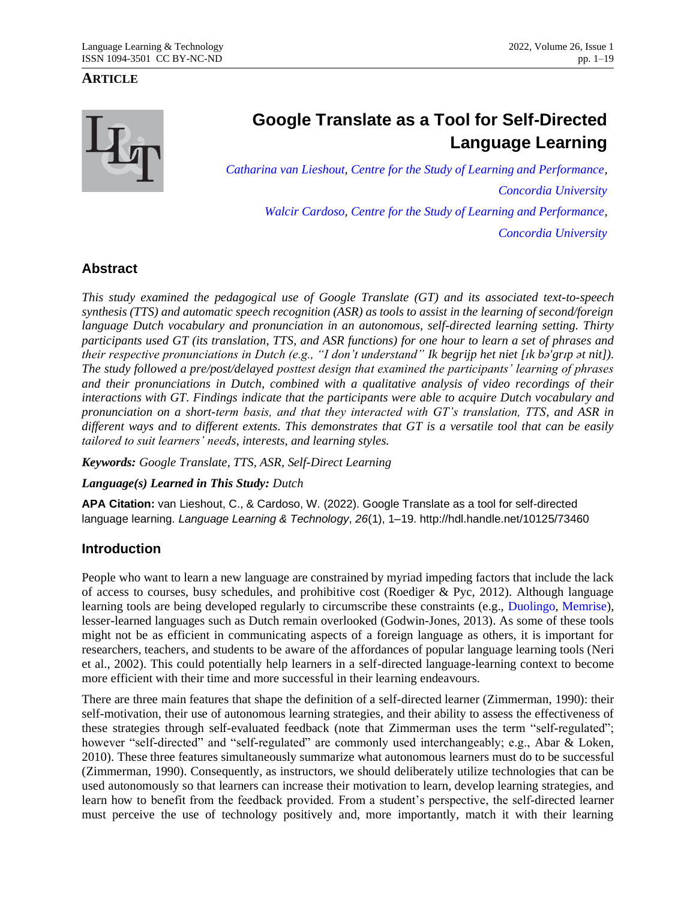### **ARTICLE**

# **Google Translate as a Tool for Self-Directed Language Learning**

*[Catharina van Lieshout,](mailto:roza_92z@hotmail.com) [Centre for the Study of Learning and Performance,](https://www.concordia.ca/research/learning-performance.html) [Concordia University](http://www.concordia.ca/) [Walcir Cardoso,](mailto:walcir.cardoso@concordia.ca) [Centre for the Study of Learning and Performance,](https://www.concordia.ca/research/learning-performance.html) [Concordia University](http://www.concordia.ca/)*

### **Abstract**

*This study examined the pedagogical use of Google Translate (GT) and its associated text-to-speech synthesis (TTS) and automatic speech recognition (ASR) as tools to assist in the learning of second/foreign language Dutch vocabulary and pronunciation in an autonomous, self-directed learning setting. Thirty participants used GT (its translation, TTS, and ASR functions) for one hour to learn a set of phrases and their respective pronunciations in Dutch (e.g., "I don't understand" Ik begrijp het niet [ɪk bə'grɪp ət nit]). The study followed a pre/post/delayed posttest design that examined the participants' learning of phrases and their pronunciations in Dutch, combined with a qualitative analysis of video recordings of their interactions with GT. Findings indicate that the participants were able to acquire Dutch vocabulary and pronunciation on a short-term basis, and that they interacted with GT's translation, TTS, and ASR in different ways and to different extents. This demonstrates that GT is a versatile tool that can be easily tailored to suit learners' needs, interests, and learning styles.*

*Keywords: Google Translate, TTS, ASR, Self-Direct Learning*

### *Language(s) Learned in This Study: Dutch*

**APA Citation:** van Lieshout, C., & Cardoso, W. (2022). Google Translate as a tool for self-directed language learning. *Language Learning & Technology*, *26*(1), 1–19. http://hdl.handle.net/10125/73460

### **Introduction**

People who want to learn a new language are constrained by myriad impeding factors that include the lack of access to courses, busy schedules, and prohibitive cost (Roediger & Pyc, 2012). Although language learning tools are being developed regularly to circumscribe these constraints (e.g., [Duolingo,](https://www.duolingo.com/) [Memrise\)](https://www.memrise.com/), lesser-learned languages such as Dutch remain overlooked (Godwin-Jones, 2013). As some of these tools might not be as efficient in communicating aspects of a foreign language as others, it is important for researchers, teachers, and students to be aware of the affordances of popular language learning tools (Neri et al., 2002). This could potentially help learners in a self-directed language-learning context to become more efficient with their time and more successful in their learning endeavours.

There are three main features that shape the definition of a self-directed learner (Zimmerman, 1990): their self-motivation, their use of autonomous learning strategies, and their ability to assess the effectiveness of these strategies through self-evaluated feedback (note that Zimmerman uses the term "self-regulated"; however "self-directed" and "self-regulated" are commonly used interchangeably; e.g., Abar & Loken, 2010). These three features simultaneously summarize what autonomous learners must do to be successful (Zimmerman, 1990). Consequently, as instructors, we should deliberately utilize technologies that can be used autonomously so that learners can increase their motivation to learn, develop learning strategies, and learn how to benefit from the feedback provided. From a student's perspective, the self-directed learner must perceive the use of technology positively and, more importantly, match it with their learning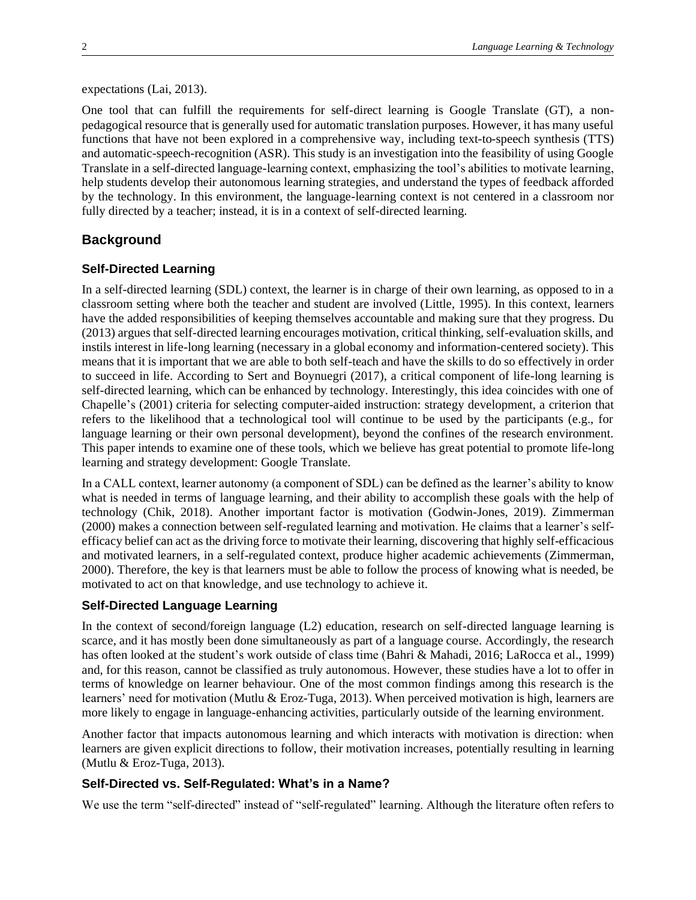#### expectations (Lai, 2013).

One tool that can fulfill the requirements for self-direct learning is Google Translate (GT), a nonpedagogical resource that is generally used for automatic translation purposes. However, it has many useful functions that have not been explored in a comprehensive way, including text-to-speech synthesis (TTS) and automatic-speech-recognition (ASR). This study is an investigation into the feasibility of using Google Translate in a self-directed language-learning context, emphasizing the tool's abilities to motivate learning, help students develop their autonomous learning strategies, and understand the types of feedback afforded by the technology. In this environment, the language-learning context is not centered in a classroom nor fully directed by a teacher; instead, it is in a context of self-directed learning.

#### **Background**

### **Self-Directed Learning**

In a self-directed learning (SDL) context, the learner is in charge of their own learning, as opposed to in a classroom setting where both the teacher and student are involved (Little, 1995). In this context, learners have the added responsibilities of keeping themselves accountable and making sure that they progress. Du (2013) argues that self-directed learning encourages motivation, critical thinking, self-evaluation skills, and instils interest in life-long learning (necessary in a global economy and information-centered society). This means that it is important that we are able to both self-teach and have the skills to do so effectively in order to succeed in life. According to Sert and Boynuegri (2017), a critical component of life-long learning is self-directed learning, which can be enhanced by technology. Interestingly, this idea coincides with one of Chapelle's (2001) criteria for selecting computer-aided instruction: strategy development, a criterion that refers to the likelihood that a technological tool will continue to be used by the participants (e.g., for language learning or their own personal development), beyond the confines of the research environment. This paper intends to examine one of these tools, which we believe has great potential to promote life-long learning and strategy development: Google Translate.

In a CALL context, learner autonomy (a component of SDL) can be defined as the learner's ability to know what is needed in terms of language learning, and their ability to accomplish these goals with the help of technology (Chik, 2018). Another important factor is motivation (Godwin-Jones, 2019). Zimmerman (2000) makes a connection between self-regulated learning and motivation. He claims that a learner's selfefficacy belief can act as the driving force to motivate their learning, discovering that highly self-efficacious and motivated learners, in a self-regulated context, produce higher academic achievements (Zimmerman, 2000). Therefore, the key is that learners must be able to follow the process of knowing what is needed, be motivated to act on that knowledge, and use technology to achieve it.

#### **Self-Directed Language Learning**

In the context of second/foreign language (L2) education, research on self-directed language learning is scarce, and it has mostly been done simultaneously as part of a language course. Accordingly, the research has often looked at the student's work outside of class time (Bahri & Mahadi, 2016; LaRocca et al., 1999) and, for this reason, cannot be classified as truly autonomous. However, these studies have a lot to offer in terms of knowledge on learner behaviour. One of the most common findings among this research is the learners' need for motivation (Mutlu & Eroz-Tuga, 2013). When perceived motivation is high, learners are more likely to engage in language-enhancing activities, particularly outside of the learning environment.

Another factor that impacts autonomous learning and which interacts with motivation is direction: when learners are given explicit directions to follow, their motivation increases, potentially resulting in learning (Mutlu & Eroz-Tuga, 2013).

#### **Self-Directed vs. Self-Regulated: What's in a Name?**

We use the term "self-directed" instead of "self-regulated" learning. Although the literature often refers to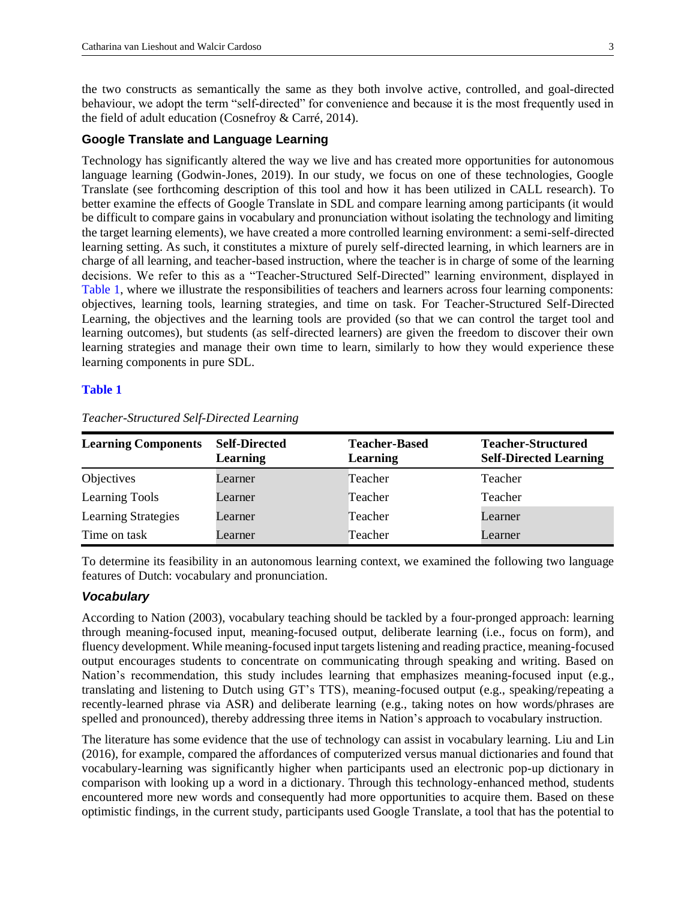the two constructs as semantically the same as they both involve active, controlled, and goal-directed behaviour, we adopt the term "self-directed" for convenience and because it is the most frequently used in the field of adult education (Cosnefroy & Carré, 2014).

### **Google Translate and Language Learning**

Technology has significantly altered the way we live and has created more opportunities for autonomous language learning (Godwin-Jones, 2019). In our study, we focus on one of these technologies, Google Translate (see forthcoming description of this tool and how it has been utilized in CALL research). To better examine the effects of Google Translate in SDL and compare learning among participants (it would be difficult to compare gains in vocabulary and pronunciation without isolating the technology and limiting the target learning elements), we have created a more controlled learning environment: a semi-self-directed learning setting. As such, it constitutes a mixture of purely self-directed learning, in which learners are in charge of all learning, and teacher-based instruction, where the teacher is in charge of some of the learning decisions. We refer to this as a "Teacher-Structured Self-Directed" learning environment, displayed in [Table 1,](#page-2-0) where we illustrate the responsibilities of teachers and learners across four learning components: objectives, learning tools, learning strategies, and time on task. For Teacher-Structured Self-Directed Learning, the objectives and the learning tools are provided (so that we can control the target tool and learning outcomes), but students (as self-directed learners) are given the freedom to discover their own learning strategies and manage their own time to learn, similarly to how they would experience these learning components in pure SDL.

#### <span id="page-2-1"></span><span id="page-2-0"></span>**[Table 1](#page-2-1)**

| <b>Learning Components</b> | <b>Self-Directed</b><br>Learning | <b>Teacher-Based</b><br><b>Learning</b> | <b>Teacher-Structured</b><br><b>Self-Directed Learning</b> |  |
|----------------------------|----------------------------------|-----------------------------------------|------------------------------------------------------------|--|
| Objectives                 | Learner                          | Teacher                                 | Teacher                                                    |  |
| Learning Tools             | Learner                          | Teacher                                 | Teacher                                                    |  |
| <b>Learning Strategies</b> | Learner                          | Teacher                                 | Learner                                                    |  |
| Time on task               | Learner                          | Teacher                                 | Learner                                                    |  |

*Teacher-Structured Self-Directed Learning*

To determine its feasibility in an autonomous learning context, we examined the following two language features of Dutch: vocabulary and pronunciation.

#### *Vocabulary*

According to Nation (2003), vocabulary teaching should be tackled by a four-pronged approach: learning through meaning-focused input, meaning-focused output, deliberate learning (i.e., focus on form), and fluency development. While meaning-focused input targets listening and reading practice, meaning-focused output encourages students to concentrate on communicating through speaking and writing. Based on Nation's recommendation, this study includes learning that emphasizes meaning-focused input (e.g., translating and listening to Dutch using GT's TTS), meaning-focused output (e.g., speaking/repeating a recently-learned phrase via ASR) and deliberate learning (e.g., taking notes on how words/phrases are spelled and pronounced), thereby addressing three items in Nation's approach to vocabulary instruction.

The literature has some evidence that the use of technology can assist in vocabulary learning. Liu and Lin (2016), for example, compared the affordances of computerized versus manual dictionaries and found that vocabulary-learning was significantly higher when participants used an electronic pop-up dictionary in comparison with looking up a word in a dictionary. Through this technology-enhanced method, students encountered more new words and consequently had more opportunities to acquire them. Based on these optimistic findings, in the current study, participants used Google Translate, a tool that has the potential to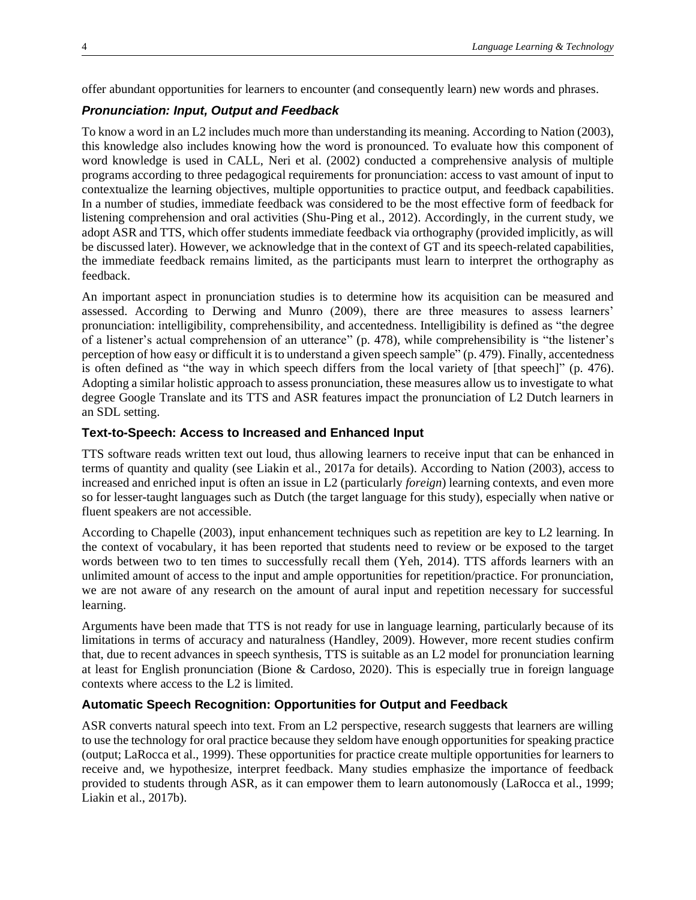offer abundant opportunities for learners to encounter (and consequently learn) new words and phrases.

#### *Pronunciation: Input, Output and Feedback*

To know a word in an L2 includes much more than understanding its meaning. According to Nation (2003), this knowledge also includes knowing how the word is pronounced. To evaluate how this component of word knowledge is used in CALL, Neri et al. (2002) conducted a comprehensive analysis of multiple programs according to three pedagogical requirements for pronunciation: access to vast amount of input to contextualize the learning objectives, multiple opportunities to practice output, and feedback capabilities. In a number of studies, immediate feedback was considered to be the most effective form of feedback for listening comprehension and oral activities (Shu-Ping et al., 2012). Accordingly, in the current study, we adopt ASR and TTS, which offer students immediate feedback via orthography (provided implicitly, as will be discussed later). However, we acknowledge that in the context of GT and its speech-related capabilities, the immediate feedback remains limited, as the participants must learn to interpret the orthography as feedback.

An important aspect in pronunciation studies is to determine how its acquisition can be measured and assessed. According to Derwing and Munro (2009), there are three measures to assess learners' pronunciation: intelligibility, comprehensibility, and accentedness. Intelligibility is defined as "the degree of a listener's actual comprehension of an utterance" (p. 478), while comprehensibility is "the listener's perception of how easy or difficult it is to understand a given speech sample" (p. 479). Finally, accentedness is often defined as "the way in which speech differs from the local variety of [that speech]" (p. 476). Adopting a similar holistic approach to assess pronunciation, these measures allow us to investigate to what degree Google Translate and its TTS and ASR features impact the pronunciation of L2 Dutch learners in an SDL setting.

### **Text-to-Speech: Access to Increased and Enhanced Input**

TTS software reads written text out loud, thus allowing learners to receive input that can be enhanced in terms of quantity and quality (see Liakin et al., 2017a for details). According to Nation (2003), access to increased and enriched input is often an issue in L2 (particularly *foreign*) learning contexts, and even more so for lesser-taught languages such as Dutch (the target language for this study), especially when native or fluent speakers are not accessible.

According to Chapelle (2003), input enhancement techniques such as repetition are key to L2 learning. In the context of vocabulary, it has been reported that students need to review or be exposed to the target words between two to ten times to successfully recall them (Yeh, 2014). TTS affords learners with an unlimited amount of access to the input and ample opportunities for repetition/practice. For pronunciation, we are not aware of any research on the amount of aural input and repetition necessary for successful learning.

Arguments have been made that TTS is not ready for use in language learning, particularly because of its limitations in terms of accuracy and naturalness (Handley, 2009). However, more recent studies confirm that, due to recent advances in speech synthesis, TTS is suitable as an L2 model for pronunciation learning at least for English pronunciation (Bione & Cardoso, 2020). This is especially true in foreign language contexts where access to the L2 is limited.

#### **Automatic Speech Recognition: Opportunities for Output and Feedback**

ASR converts natural speech into text. From an L2 perspective, research suggests that learners are willing to use the technology for oral practice because they seldom have enough opportunities for speaking practice (output; LaRocca et al., 1999). These opportunities for practice create multiple opportunities for learners to receive and, we hypothesize, interpret feedback. Many studies emphasize the importance of feedback provided to students through ASR, as it can empower them to learn autonomously (LaRocca et al., 1999; Liakin et al., 2017b).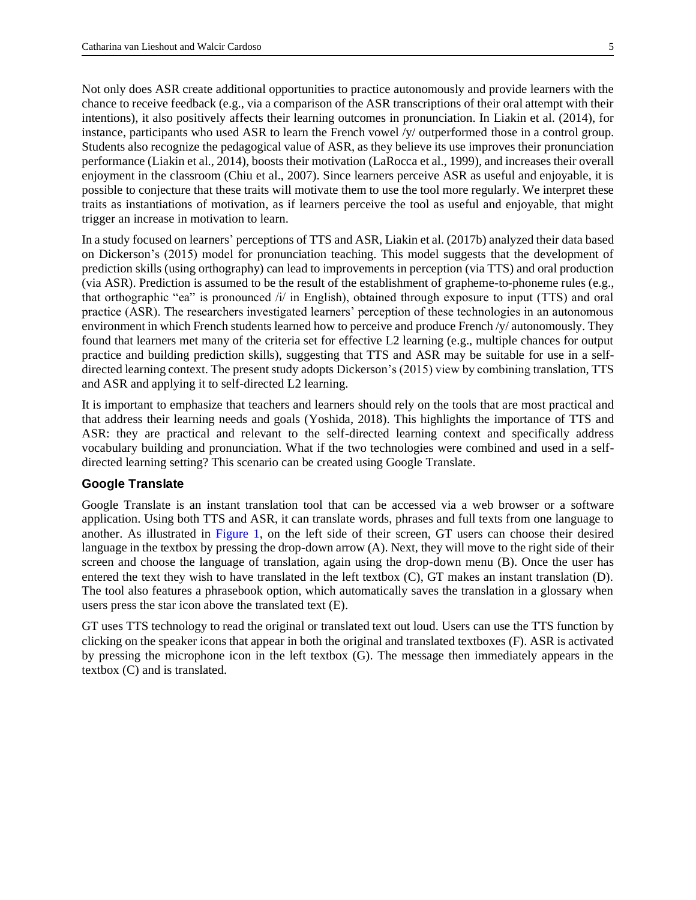Not only does ASR create additional opportunities to practice autonomously and provide learners with the chance to receive feedback (e.g., via a comparison of the ASR transcriptions of their oral attempt with their intentions), it also positively affects their learning outcomes in pronunciation. In Liakin et al. (2014), for instance, participants who used ASR to learn the French vowel /y/ outperformed those in a control group. Students also recognize the pedagogical value of ASR, as they believe its use improves their pronunciation performance (Liakin et al., 2014), boosts their motivation (LaRocca et al., 1999), and increases their overall enjoyment in the classroom (Chiu et al., 2007). Since learners perceive ASR as useful and enjoyable, it is possible to conjecture that these traits will motivate them to use the tool more regularly. We interpret these traits as instantiations of motivation, as if learners perceive the tool as useful and enjoyable, that might trigger an increase in motivation to learn.

In a study focused on learners' perceptions of TTS and ASR, Liakin et al. (2017b) analyzed their data based on Dickerson's (2015) model for pronunciation teaching. This model suggests that the development of prediction skills (using orthography) can lead to improvements in perception (via TTS) and oral production (via ASR). Prediction is assumed to be the result of the establishment of grapheme-to-phoneme rules (e.g., that orthographic "ea" is pronounced /i/ in English), obtained through exposure to input (TTS) and oral practice (ASR). The researchers investigated learners' perception of these technologies in an autonomous environment in which French students learned how to perceive and produce French /y/ autonomously. They found that learners met many of the criteria set for effective L2 learning (e.g., multiple chances for output practice and building prediction skills), suggesting that TTS and ASR may be suitable for use in a selfdirected learning context. The present study adopts Dickerson's (2015) view by combining translation, TTS and ASR and applying it to self-directed L2 learning.

It is important to emphasize that teachers and learners should rely on the tools that are most practical and that address their learning needs and goals (Yoshida, 2018). This highlights the importance of TTS and ASR: they are practical and relevant to the self-directed learning context and specifically address vocabulary building and pronunciation. What if the two technologies were combined and used in a selfdirected learning setting? This scenario can be created using Google Translate.

### **Google Translate**

<span id="page-4-0"></span>Google Translate is an instant translation tool that can be accessed via a web browser or a software application. Using both TTS and ASR, it can translate words, phrases and full texts from one language to another. As illustrated in [Figure 1,](#page-5-0) on the left side of their screen, GT users can choose their desired language in the textbox by pressing the drop-down arrow (A). Next, they will move to the right side of their screen and choose the language of translation, again using the drop-down menu (B). Once the user has entered the text they wish to have translated in the left textbox (C), GT makes an instant translation (D). The tool also features a phrasebook option, which automatically saves the translation in a glossary when users press the star icon above the translated text (E).

GT uses TTS technology to read the original or translated text out loud. Users can use the TTS function by clicking on the speaker icons that appear in both the original and translated textboxes (F). ASR is activated by pressing the microphone icon in the left textbox (G). The message then immediately appears in the textbox (C) and is translated.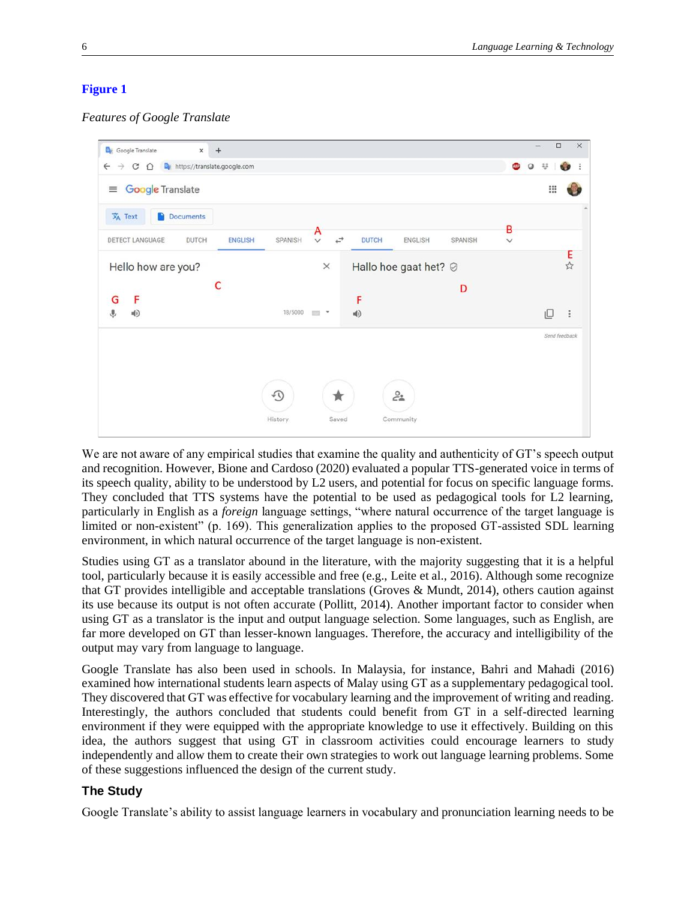### <span id="page-5-0"></span>**[Figure 1](#page-4-0)**

*Features of Google Translate*



We are not aware of any empirical studies that examine the quality and authenticity of GT's speech output and recognition. However, Bione and Cardoso (2020) evaluated a popular TTS-generated voice in terms of its speech quality, ability to be understood by L2 users, and potential for focus on specific language forms. They concluded that TTS systems have the potential to be used as pedagogical tools for L2 learning, particularly in English as a *foreign* language settings, "where natural occurrence of the target language is limited or non-existent" (p. 169). This generalization applies to the proposed GT-assisted SDL learning environment, in which natural occurrence of the target language is non-existent.

Studies using GT as a translator abound in the literature, with the majority suggesting that it is a helpful tool, particularly because it is easily accessible and free (e.g., Leite et al., 2016). Although some recognize that GT provides intelligible and acceptable translations (Groves & Mundt, 2014), others caution against its use because its output is not often accurate (Pollitt, 2014). Another important factor to consider when using GT as a translator is the input and output language selection. Some languages, such as English, are far more developed on GT than lesser-known languages. Therefore, the accuracy and intelligibility of the output may vary from language to language.

Google Translate has also been used in schools. In Malaysia, for instance, Bahri and Mahadi (2016) examined how international students learn aspects of Malay using GT as a supplementary pedagogical tool. They discovered that GT was effective for vocabulary learning and the improvement of writing and reading. Interestingly, the authors concluded that students could benefit from GT in a self-directed learning environment if they were equipped with the appropriate knowledge to use it effectively. Building on this idea, the authors suggest that using GT in classroom activities could encourage learners to study independently and allow them to create their own strategies to work out language learning problems. Some of these suggestions influenced the design of the current study.

### **The Study**

Google Translate's ability to assist language learners in vocabulary and pronunciation learning needs to be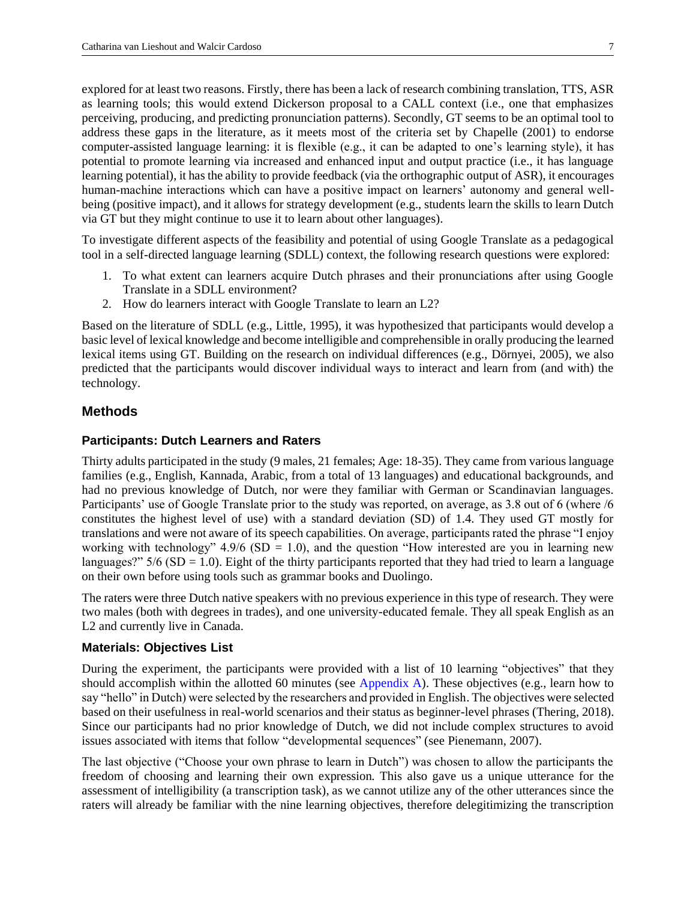explored for at least two reasons. Firstly, there has been a lack of research combining translation, TTS, ASR as learning tools; this would extend Dickerson proposal to a CALL context (i.e., one that emphasizes perceiving, producing, and predicting pronunciation patterns). Secondly, GT seems to be an optimal tool to address these gaps in the literature, as it meets most of the criteria set by Chapelle (2001) to endorse computer-assisted language learning: it is flexible (e.g., it can be adapted to one's learning style), it has potential to promote learning via increased and enhanced input and output practice (i.e., it has language learning potential), it has the ability to provide feedback (via the orthographic output of ASR), it encourages human-machine interactions which can have a positive impact on learners' autonomy and general wellbeing (positive impact), and it allows for strategy development (e.g., students learn the skills to learn Dutch via GT but they might continue to use it to learn about other languages).

To investigate different aspects of the feasibility and potential of using Google Translate as a pedagogical tool in a self-directed language learning (SDLL) context, the following research questions were explored:

- 1. To what extent can learners acquire Dutch phrases and their pronunciations after using Google Translate in a SDLL environment?
- 2. How do learners interact with Google Translate to learn an L2?

Based on the literature of SDLL (e.g., Little, 1995), it was hypothesized that participants would develop a basic level of lexical knowledge and become intelligible and comprehensible in orally producing the learned lexical items using GT. Building on the research on individual differences (e.g., Dörnyei, 2005), we also predicted that the participants would discover individual ways to interact and learn from (and with) the technology.

### **Methods**

#### **Participants: Dutch Learners and Raters**

Thirty adults participated in the study (9 males, 21 females; Age: 18-35). They came from various language families (e.g., English, Kannada, Arabic, from a total of 13 languages) and educational backgrounds, and had no previous knowledge of Dutch, nor were they familiar with German or Scandinavian languages. Participants' use of Google Translate prior to the study was reported, on average, as 3.8 out of 6 (where /6 constitutes the highest level of use) with a standard deviation (SD) of 1.4. They used GT mostly for translations and were not aware of its speech capabilities. On average, participants rated the phrase "I enjoy working with technology"  $4.9/6$  (SD = 1.0), and the question "How interested are you in learning new languages?"  $5/6$  (SD = 1.0). Eight of the thirty participants reported that they had tried to learn a language on their own before using tools such as grammar books and Duolingo.

The raters were three Dutch native speakers with no previous experience in this type of research. They were two males (both with degrees in trades), and one university-educated female. They all speak English as an L2 and currently live in Canada.

#### **Materials: Objectives List**

During the experiment, the participants were provided with a list of 10 learning "objectives" that they should accomplish within the allotted 60 minutes (see [Appendix A\)](#page-16-0). These objectives (e.g., learn how to say "hello" in Dutch) were selected by the researchers and provided in English. The objectives were selected based on their usefulness in real-world scenarios and their status as beginner-level phrases (Thering, 2018). Since our participants had no prior knowledge of Dutch, we did not include complex structures to avoid issues associated with items that follow "developmental sequences" (see Pienemann, 2007).

The last objective ("Choose your own phrase to learn in Dutch") was chosen to allow the participants the freedom of choosing and learning their own expression. This also gave us a unique utterance for the assessment of intelligibility (a transcription task), as we cannot utilize any of the other utterances since the raters will already be familiar with the nine learning objectives, therefore delegitimizing the transcription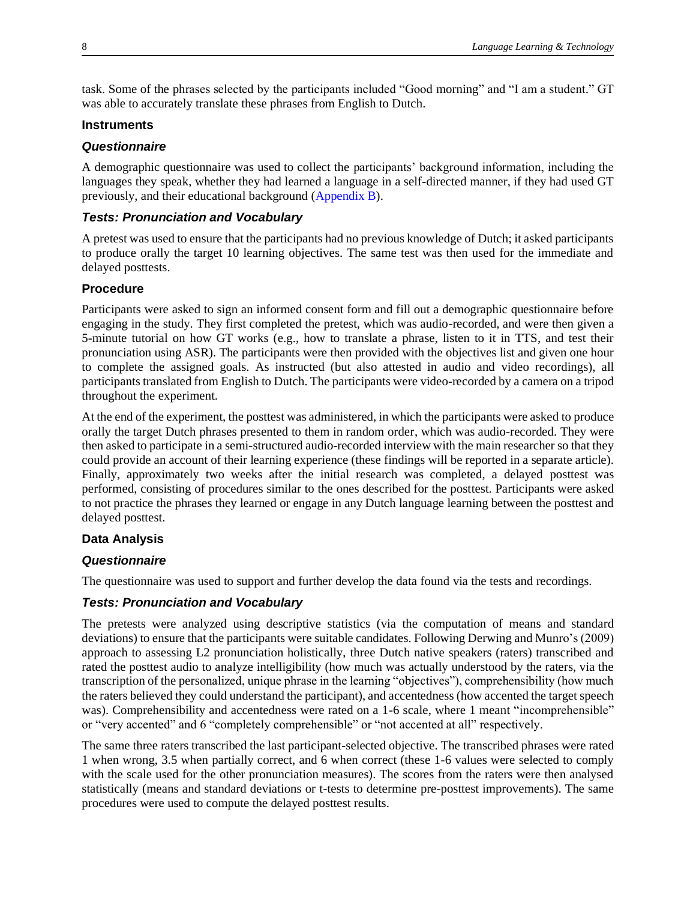task. Some of the phrases selected by the participants included "Good morning" and "I am a student." GT was able to accurately translate these phrases from English to Dutch.

### **Instruments**

### *Questionnaire*

A demographic questionnaire was used to collect the participants' background information, including the languages they speak, whether they had learned a language in a self-directed manner, if they had used GT previously, and their educational background [\(Appendix](#page-17-0) B).

### <span id="page-7-0"></span>*Tests: Pronunciation and Vocabulary*

A pretest was used to ensure that the participants had no previous knowledge of Dutch; it asked participants to produce orally the target 10 learning objectives. The same test was then used for the immediate and delayed posttests.

### **Procedure**

Participants were asked to sign an informed consent form and fill out a demographic questionnaire before engaging in the study. They first completed the pretest, which was audio-recorded, and were then given a 5-minute tutorial on how GT works (e.g., how to translate a phrase, listen to it in TTS, and test their pronunciation using ASR). The participants were then provided with the objectives list and given one hour to complete the assigned goals. As instructed (but also attested in audio and video recordings), all participants translated from English to Dutch. The participants were video-recorded by a camera on a tripod throughout the experiment.

At the end of the experiment, the posttest was administered, in which the participants were asked to produce orally the target Dutch phrases presented to them in random order, which was audio-recorded. They were then asked to participate in a semi-structured audio-recorded interview with the main researcher so that they could provide an account of their learning experience (these findings will be reported in a separate article). Finally, approximately two weeks after the initial research was completed, a delayed posttest was performed, consisting of procedures similar to the ones described for the posttest. Participants were asked to not practice the phrases they learned or engage in any Dutch language learning between the posttest and delayed posttest.

### **Data Analysis**

### *Questionnaire*

The questionnaire was used to support and further develop the data found via the tests and recordings.

### *Tests: Pronunciation and Vocabulary*

The pretests were analyzed using descriptive statistics (via the computation of means and standard deviations) to ensure that the participants were suitable candidates. Following Derwing and Munro's (2009) approach to assessing L2 pronunciation holistically, three Dutch native speakers (raters) transcribed and rated the posttest audio to analyze intelligibility (how much was actually understood by the raters, via the transcription of the personalized, unique phrase in the learning "objectives"), comprehensibility (how much the raters believed they could understand the participant), and accentedness (how accented the target speech was). Comprehensibility and accentedness were rated on a 1-6 scale, where 1 meant "incomprehensible" or "very accented" and 6 "completely comprehensible" or "not accented at all" respectively.

The same three raters transcribed the last participant-selected objective. The transcribed phrases were rated 1 when wrong, 3.5 when partially correct, and 6 when correct (these 1-6 values were selected to comply with the scale used for the other pronunciation measures). The scores from the raters were then analysed statistically (means and standard deviations or t-tests to determine pre-posttest improvements). The same procedures were used to compute the delayed posttest results.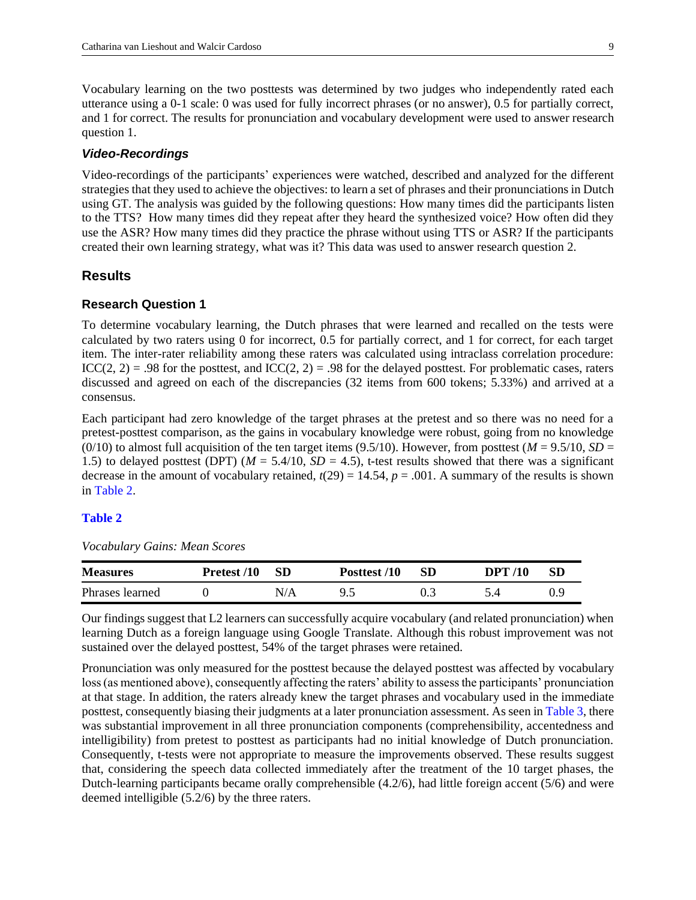Vocabulary learning on the two posttests was determined by two judges who independently rated each utterance using a 0-1 scale: 0 was used for fully incorrect phrases (or no answer), 0.5 for partially correct, and 1 for correct. The results for pronunciation and vocabulary development were used to answer research question 1.

#### *Video-Recordings*

Video-recordings of the participants' experiences were watched, described and analyzed for the different strategies that they used to achieve the objectives: to learn a set of phrases and their pronunciations in Dutch using GT. The analysis was guided by the following questions: How many times did the participants listen to the TTS? How many times did they repeat after they heard the synthesized voice? How often did they use the ASR? How many times did they practice the phrase without using TTS or ASR? If the participants created their own learning strategy, what was it? This data was used to answer research question 2.

### **Results**

#### **Research Question 1**

To determine vocabulary learning, the Dutch phrases that were learned and recalled on the tests were calculated by two raters using 0 for incorrect, 0.5 for partially correct, and 1 for correct, for each target item. The inter-rater reliability among these raters was calculated using intraclass correlation procedure:  $ICC(2, 2) = .98$  for the posttest, and  $ICC(2, 2) = .98$  for the delayed posttest. For problematic cases, raters discussed and agreed on each of the discrepancies (32 items from 600 tokens; 5.33%) and arrived at a consensus.

Each participant had zero knowledge of the target phrases at the pretest and so there was no need for a pretest-posttest comparison, as the gains in vocabulary knowledge were robust, going from no knowledge (0/10) to almost full acquisition of the ten target items (9.5/10). However, from posttest ( $M = 9.5/10$ ,  $SD =$ 1.5) to delayed posttest (DPT) ( $M = 5.4/10$ ,  $SD = 4.5$ ), t-test results showed that there was a significant decrease in the amount of vocabulary retained,  $t(29) = 14.54$ ,  $p = .001$ . A summary of the results is shown in [Table 2.](#page-8-0)

### <span id="page-8-1"></span><span id="page-8-0"></span>**[Table 2](#page-8-1)**

*Vocabulary Gains: Mean Scores*

| <b>Measures</b> | Pretest /10 | -SD | Posttest /10 | <b>SD</b> | <b>DPT</b> /10 | -SD |
|-----------------|-------------|-----|--------------|-----------|----------------|-----|
| Phrases learned |             | N/A | uς           |           |                |     |

Our findings suggest that L2 learners can successfully acquire vocabulary (and related pronunciation) when learning Dutch as a foreign language using Google Translate. Although this robust improvement was not sustained over the delayed posttest, 54% of the target phrases were retained.

<span id="page-8-2"></span>Pronunciation was only measured for the posttest because the delayed posttest was affected by vocabulary loss (as mentioned above), consequently affecting the raters' ability to assess the participants' pronunciation at that stage. In addition, the raters already knew the target phrases and vocabulary used in the immediate posttest, consequently biasing their judgments at a later pronunciation assessment. As seen in [Table 3,](#page-9-0) there was substantial improvement in all three pronunciation components (comprehensibility, accentedness and intelligibility) from pretest to posttest as participants had no initial knowledge of Dutch pronunciation. Consequently, t-tests were not appropriate to measure the improvements observed. These results suggest that, considering the speech data collected immediately after the treatment of the 10 target phases, the Dutch-learning participants became orally comprehensible (4.2/6), had little foreign accent (5/6) and were deemed intelligible (5.2/6) by the three raters.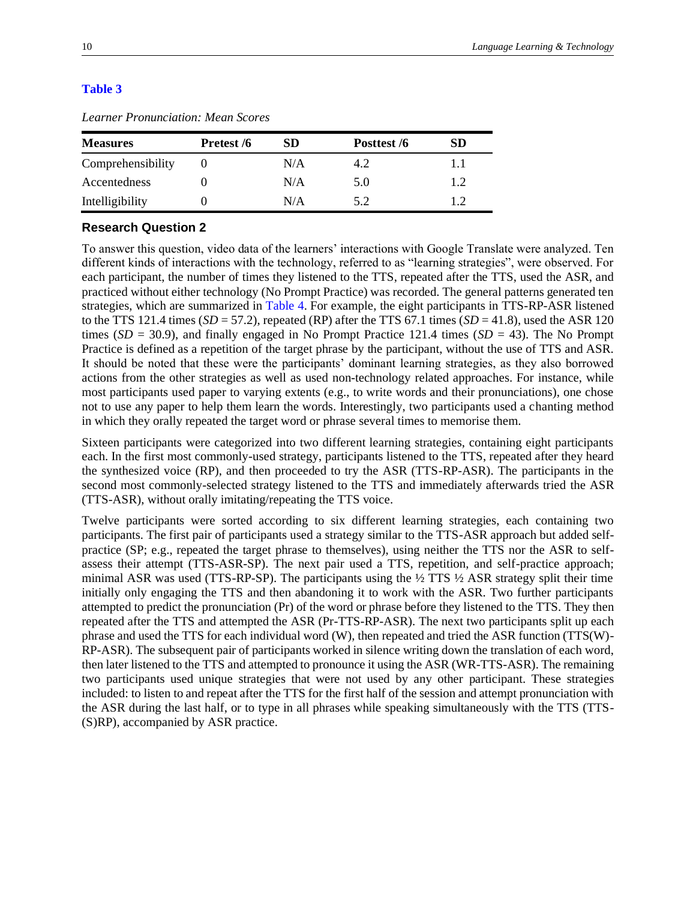#### <span id="page-9-0"></span>**[Table 3](#page-8-2)**

| <b>Measures</b>   | Pretest /6 | SD  | Posttest /6 | SD  |
|-------------------|------------|-----|-------------|-----|
| Comprehensibility |            | N/A | 4.2         |     |
| Accentedness      |            | N/A | 5.0         | 1.2 |
| Intelligibility   |            | N/A | 5.2         | 12  |

*Learner Pronunciation: Mean Scores*

### **Research Question 2**

<span id="page-9-1"></span>To answer this question, video data of the learners' interactions with Google Translate were analyzed. Ten different kinds of interactions with the technology, referred to as "learning strategies", were observed. For each participant, the number of times they listened to the TTS, repeated after the TTS, used the ASR, and practiced without either technology (No Prompt Practice) was recorded. The general patterns generated ten strategies, which are summarized in [Table 4.](#page-10-0) For example, the eight participants in TTS-RP-ASR listened to the TTS 121.4 times  $(SD = 57.2)$ , repeated (RP) after the TTS 67.1 times  $(SD = 41.8)$ , used the ASR 120 times ( $SD = 30.9$ ), and finally engaged in No Prompt Practice 121.4 times ( $SD = 43$ ). The No Prompt Practice is defined as a repetition of the target phrase by the participant, without the use of TTS and ASR. It should be noted that these were the participants' dominant learning strategies, as they also borrowed actions from the other strategies as well as used non-technology related approaches. For instance, while most participants used paper to varying extents (e.g., to write words and their pronunciations), one chose not to use any paper to help them learn the words. Interestingly, two participants used a chanting method in which they orally repeated the target word or phrase several times to memorise them.

Sixteen participants were categorized into two different learning strategies, containing eight participants each. In the first most commonly-used strategy, participants listened to the TTS, repeated after they heard the synthesized voice (RP), and then proceeded to try the ASR (TTS-RP-ASR). The participants in the second most commonly-selected strategy listened to the TTS and immediately afterwards tried the ASR (TTS-ASR), without orally imitating/repeating the TTS voice.

Twelve participants were sorted according to six different learning strategies, each containing two participants. The first pair of participants used a strategy similar to the TTS-ASR approach but added selfpractice (SP; e.g., repeated the target phrase to themselves), using neither the TTS nor the ASR to selfassess their attempt (TTS-ASR-SP). The next pair used a TTS, repetition, and self-practice approach; minimal ASR was used (TTS-RP-SP). The participants using the ½ TTS ½ ASR strategy split their time initially only engaging the TTS and then abandoning it to work with the ASR. Two further participants attempted to predict the pronunciation (Pr) of the word or phrase before they listened to the TTS. They then repeated after the TTS and attempted the ASR (Pr-TTS-RP-ASR). The next two participants split up each phrase and used the TTS for each individual word (W), then repeated and tried the ASR function (TTS(W)- RP-ASR). The subsequent pair of participants worked in silence writing down the translation of each word, then later listened to the TTS and attempted to pronounce it using the ASR (WR-TTS-ASR). The remaining two participants used unique strategies that were not used by any other participant. These strategies included: to listen to and repeat after the TTS for the first half of the session and attempt pronunciation with the ASR during the last half, or to type in all phrases while speaking simultaneously with the TTS (TTS- (S)RP), accompanied by ASR practice.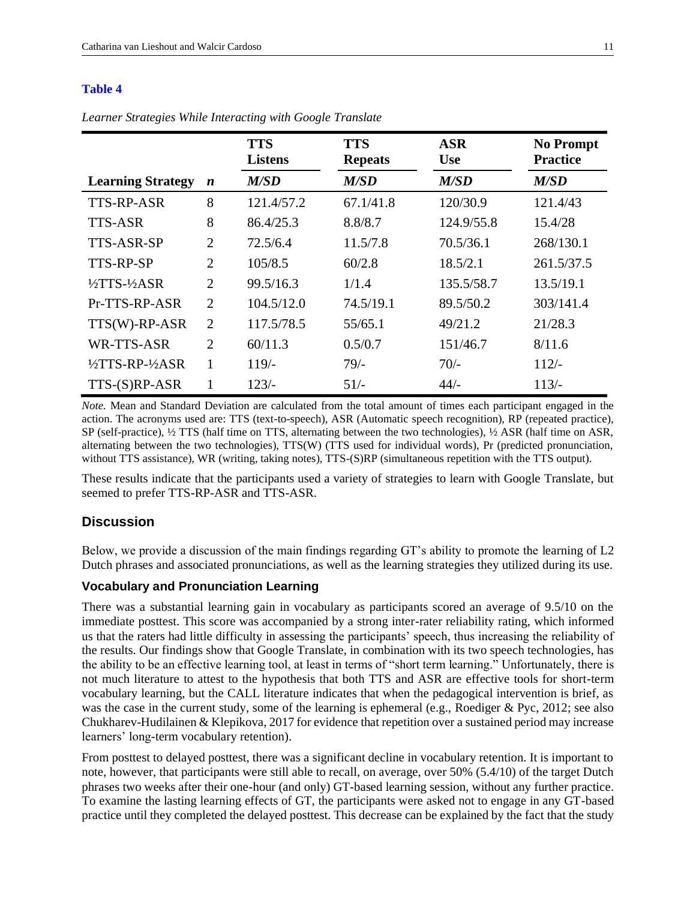#### <span id="page-10-0"></span>**[Table 4](#page-9-1)**

*Learner Strategies While Interacting with Google Translate*

|                                   |                  | <b>TTS</b><br><b>Listens</b> | <b>TTS</b><br><b>Repeats</b> | <b>ASR</b><br><b>Use</b> | <b>No Prompt</b><br><b>Practice</b> |
|-----------------------------------|------------------|------------------------------|------------------------------|--------------------------|-------------------------------------|
| <b>Learning Strategy</b>          | $\boldsymbol{n}$ | M/SD                         | M/SD                         | M/SD                     | M/SD                                |
| <b>TTS-RP-ASR</b>                 | 8                | 121.4/57.2                   | 67.1/41.8                    | 120/30.9                 | 121.4/43                            |
| <b>TTS-ASR</b>                    | 8                | 86.4/25.3                    | 8.8/8.7                      | 124.9/55.8               | 15.4/28                             |
| TTS-ASR-SP                        | $\overline{2}$   | 72.5/6.4                     | 11.5/7.8                     | 70.5/36.1                | 268/130.1                           |
| TTS-RP-SP                         | $\overline{2}$   | 105/8.5                      | 60/2.8                       | 18.5/2.1                 | 261.5/37.5                          |
| $\frac{1}{2}TTS - \frac{1}{2}ASR$ | $\overline{2}$   | 99.5/16.3                    | 1/1.4                        | 135.5/58.7               | 13.5/19.1                           |
| Pr-TTS-RP-ASR                     | $\overline{2}$   | 104.5/12.0                   | 74.5/19.1                    | 89.5/50.2                | 303/141.4                           |
| $TTS(W)$ -RP-ASR                  | $\overline{2}$   | 117.5/78.5                   | 55/65.1                      | 49/21.2                  | 21/28.3                             |
| WR-TTS-ASR                        | 2                | 60/11.3                      | 0.5/0.7                      | 151/46.7                 | 8/11.6                              |
| 1/2TTS-RP-1/2ASR                  | 1                | $119/-$                      | $79/-$                       | $70/-$                   | $112/-$                             |
| TTS-(S)RP-ASR                     | 1                | $123/-$                      | $51/-$                       | $44/-$                   | $113/-$                             |

*Note.* Mean and Standard Deviation are calculated from the total amount of times each participant engaged in the action. The acronyms used are: TTS (text-to-speech), ASR (Automatic speech recognition), RP (repeated practice), SP (self-practice), ½ TTS (half time on TTS, alternating between the two technologies), ½ ASR (half time on ASR, alternating between the two technologies), TTS(W) (TTS used for individual words), Pr (predicted pronunciation, without TTS assistance), WR (writing, taking notes), TTS-(S)RP (simultaneous repetition with the TTS output).

These results indicate that the participants used a variety of strategies to learn with Google Translate, but seemed to prefer TTS-RP-ASR and TTS-ASR.

### **Discussion**

Below, we provide a discussion of the main findings regarding GT's ability to promote the learning of L2 Dutch phrases and associated pronunciations, as well as the learning strategies they utilized during its use.

#### **Vocabulary and Pronunciation Learning**

There was a substantial learning gain in vocabulary as participants scored an average of 9.5/10 on the immediate posttest. This score was accompanied by a strong inter-rater reliability rating, which informed us that the raters had little difficulty in assessing the participants' speech, thus increasing the reliability of the results. Our findings show that Google Translate, in combination with its two speech technologies, has the ability to be an effective learning tool, at least in terms of "short term learning." Unfortunately, there is not much literature to attest to the hypothesis that both TTS and ASR are effective tools for short-term vocabulary learning, but the CALL literature indicates that when the pedagogical intervention is brief, as was the case in the current study, some of the learning is ephemeral (e.g., Roediger & Pyc, 2012; see also Chukharev-Hudilainen & Klepikova, 2017 for evidence that repetition over a sustained period may increase learners' long-term vocabulary retention).

From posttest to delayed posttest, there was a significant decline in vocabulary retention. It is important to note, however, that participants were still able to recall, on average, over 50% (5.4/10) of the target Dutch phrases two weeks after their one-hour (and only) GT-based learning session, without any further practice. To examine the lasting learning effects of GT, the participants were asked not to engage in any GT-based practice until they completed the delayed posttest. This decrease can be explained by the fact that the study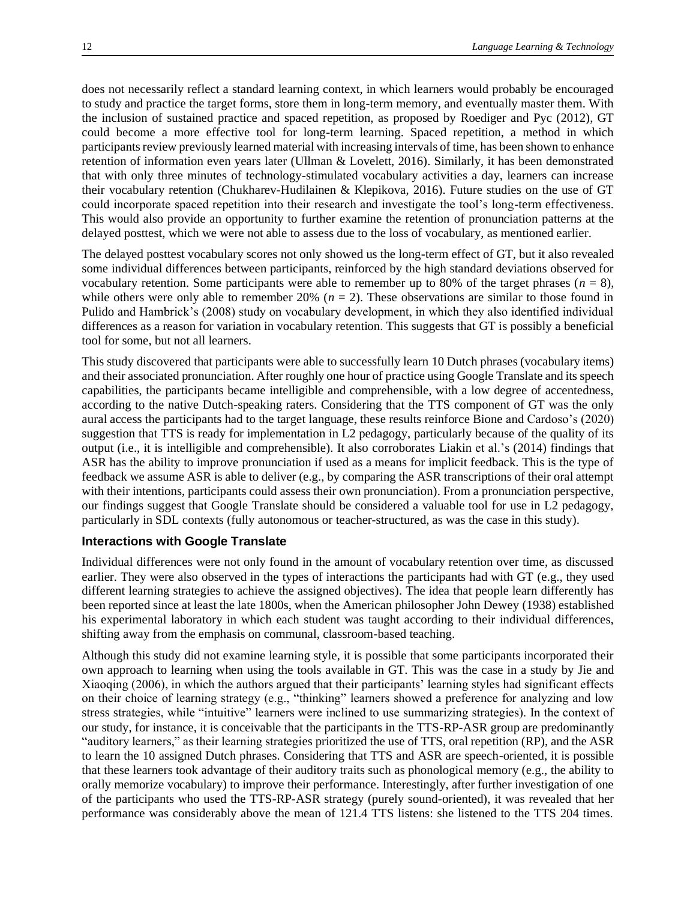does not necessarily reflect a standard learning context, in which learners would probably be encouraged to study and practice the target forms, store them in long-term memory, and eventually master them. With the inclusion of sustained practice and spaced repetition, as proposed by Roediger and Pyc (2012), GT could become a more effective tool for long-term learning. Spaced repetition, a method in which participants review previously learned material with increasing intervals of time, has been shown to enhance retention of information even years later (Ullman & Lovelett, 2016). Similarly, it has been demonstrated that with only three minutes of technology-stimulated vocabulary activities a day, learners can increase their vocabulary retention (Chukharev-Hudilainen & Klepikova, 2016). Future studies on the use of GT could incorporate spaced repetition into their research and investigate the tool's long-term effectiveness. This would also provide an opportunity to further examine the retention of pronunciation patterns at the delayed posttest, which we were not able to assess due to the loss of vocabulary, as mentioned earlier.

The delayed posttest vocabulary scores not only showed us the long-term effect of GT, but it also revealed some individual differences between participants, reinforced by the high standard deviations observed for vocabulary retention. Some participants were able to remember up to 80% of the target phrases  $(n = 8)$ , while others were only able to remember 20%  $(n = 2)$ . These observations are similar to those found in Pulido and Hambrick's (2008) study on vocabulary development, in which they also identified individual differences as a reason for variation in vocabulary retention. This suggests that GT is possibly a beneficial tool for some, but not all learners.

This study discovered that participants were able to successfully learn 10 Dutch phrases (vocabulary items) and their associated pronunciation. After roughly one hour of practice using Google Translate and its speech capabilities, the participants became intelligible and comprehensible, with a low degree of accentedness, according to the native Dutch-speaking raters. Considering that the TTS component of GT was the only aural access the participants had to the target language, these results reinforce Bione and Cardoso's (2020) suggestion that TTS is ready for implementation in L2 pedagogy, particularly because of the quality of its output (i.e., it is intelligible and comprehensible). It also corroborates Liakin et al.'s (2014) findings that ASR has the ability to improve pronunciation if used as a means for implicit feedback. This is the type of feedback we assume ASR is able to deliver (e.g., by comparing the ASR transcriptions of their oral attempt with their intentions, participants could assess their own pronunciation). From a pronunciation perspective, our findings suggest that Google Translate should be considered a valuable tool for use in L2 pedagogy, particularly in SDL contexts (fully autonomous or teacher-structured, as was the case in this study).

### **Interactions with Google Translate**

Individual differences were not only found in the amount of vocabulary retention over time, as discussed earlier. They were also observed in the types of interactions the participants had with GT (e.g., they used different learning strategies to achieve the assigned objectives). The idea that people learn differently has been reported since at least the late 1800s, when the American philosopher John Dewey (1938) established his experimental laboratory in which each student was taught according to their individual differences, shifting away from the emphasis on communal, classroom-based teaching.

Although this study did not examine learning style, it is possible that some participants incorporated their own approach to learning when using the tools available in GT. This was the case in a study by Jie and Xiaoqing (2006), in which the authors argued that their participants' learning styles had significant effects on their choice of learning strategy (e.g., "thinking" learners showed a preference for analyzing and low stress strategies, while "intuitive" learners were inclined to use summarizing strategies). In the context of our study, for instance, it is conceivable that the participants in the TTS-RP-ASR group are predominantly "auditory learners," as their learning strategies prioritized the use of TTS, oral repetition (RP), and the ASR to learn the 10 assigned Dutch phrases. Considering that TTS and ASR are speech-oriented, it is possible that these learners took advantage of their auditory traits such as phonological memory (e.g., the ability to orally memorize vocabulary) to improve their performance. Interestingly, after further investigation of one of the participants who used the TTS-RP-ASR strategy (purely sound-oriented), it was revealed that her performance was considerably above the mean of 121.4 TTS listens: she listened to the TTS 204 times.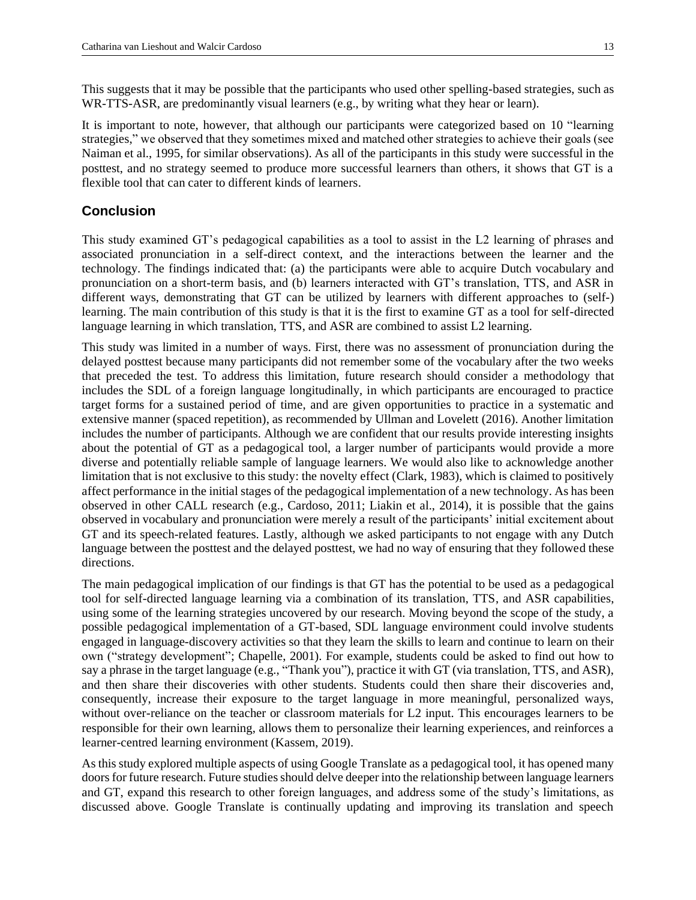This suggests that it may be possible that the participants who used other spelling-based strategies, such as WR-TTS-ASR, are predominantly visual learners (e.g., by writing what they hear or learn).

It is important to note, however, that although our participants were categorized based on 10 "learning strategies," we observed that they sometimes mixed and matched other strategies to achieve their goals (see Naiman et al., 1995, for similar observations). As all of the participants in this study were successful in the posttest, and no strategy seemed to produce more successful learners than others, it shows that GT is a flexible tool that can cater to different kinds of learners.

### **Conclusion**

This study examined GT's pedagogical capabilities as a tool to assist in the L2 learning of phrases and associated pronunciation in a self-direct context, and the interactions between the learner and the technology. The findings indicated that: (a) the participants were able to acquire Dutch vocabulary and pronunciation on a short-term basis, and (b) learners interacted with GT's translation, TTS, and ASR in different ways, demonstrating that GT can be utilized by learners with different approaches to (self-) learning. The main contribution of this study is that it is the first to examine GT as a tool for self-directed language learning in which translation, TTS, and ASR are combined to assist L2 learning.

This study was limited in a number of ways. First, there was no assessment of pronunciation during the delayed posttest because many participants did not remember some of the vocabulary after the two weeks that preceded the test. To address this limitation, future research should consider a methodology that includes the SDL of a foreign language longitudinally, in which participants are encouraged to practice target forms for a sustained period of time, and are given opportunities to practice in a systematic and extensive manner (spaced repetition), as recommended by Ullman and Lovelett (2016). Another limitation includes the number of participants. Although we are confident that our results provide interesting insights about the potential of GT as a pedagogical tool, a larger number of participants would provide a more diverse and potentially reliable sample of language learners. We would also like to acknowledge another limitation that is not exclusive to this study: the novelty effect (Clark, 1983), which is claimed to positively affect performance in the initial stages of the pedagogical implementation of a new technology. As has been observed in other CALL research (e.g., Cardoso, 2011; Liakin et al., 2014), it is possible that the gains observed in vocabulary and pronunciation were merely a result of the participants' initial excitement about GT and its speech-related features. Lastly, although we asked participants to not engage with any Dutch language between the posttest and the delayed posttest, we had no way of ensuring that they followed these directions.

The main pedagogical implication of our findings is that GT has the potential to be used as a pedagogical tool for self-directed language learning via a combination of its translation, TTS, and ASR capabilities, using some of the learning strategies uncovered by our research. Moving beyond the scope of the study, a possible pedagogical implementation of a GT-based, SDL language environment could involve students engaged in language-discovery activities so that they learn the skills to learn and continue to learn on their own ("strategy development"; Chapelle, 2001). For example, students could be asked to find out how to say a phrase in the target language (e.g., "Thank you"), practice it with GT (via translation, TTS, and ASR), and then share their discoveries with other students. Students could then share their discoveries and, consequently, increase their exposure to the target language in more meaningful, personalized ways, without over-reliance on the teacher or classroom materials for L2 input. This encourages learners to be responsible for their own learning, allows them to personalize their learning experiences, and reinforces a learner-centred learning environment (Kassem, 2019).

As this study explored multiple aspects of using Google Translate as a pedagogical tool, it has opened many doors for future research. Future studies should delve deeper into the relationship between language learners and GT, expand this research to other foreign languages, and address some of the study's limitations, as discussed above. Google Translate is continually updating and improving its translation and speech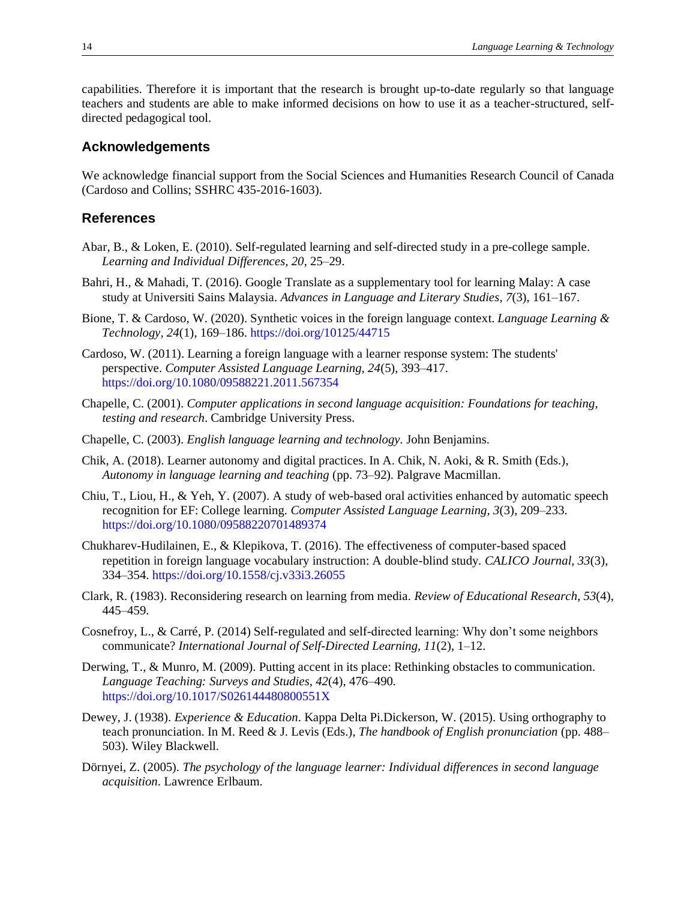capabilities. Therefore it is important that the research is brought up-to-date regularly so that language teachers and students are able to make informed decisions on how to use it as a teacher-structured, selfdirected pedagogical tool.

#### **Acknowledgements**

We acknowledge financial support from the Social Sciences and Humanities Research Council of Canada (Cardoso and Collins; SSHRC 435-2016-1603).

### **References**

- Abar, B., & Loken, E. (2010). Self-regulated learning and self-directed study in a pre-college sample. *Learning and Individual Differences, 20*, 25–29.
- Bahri, H., & Mahadi, T. (2016). Google Translate as a supplementary tool for learning Malay: A case study at Universiti Sains Malaysia. *Advances in Language and Literary Studies*, *7*(3), 161–167.
- Bione, T. & Cardoso, W. (2020). Synthetic voices in the foreign language context. *Language Learning & Technology, 24*(1), 169–186.<https://doi.org/10125/44715>
- Cardoso, W. (2011). Learning a foreign language with a learner response system: The students' perspective. *Computer Assisted Language Learning, 24*(5), 393–417. <https://doi.org/10.1080/09588221.2011.567354>
- Chapelle, C. (2001). *Computer applications in second language acquisition: Foundations for teaching, testing and research*. Cambridge University Press.
- Chapelle, C. (2003). *English language learning and technology.* John Benjamins.
- Chik, A. (2018). Learner autonomy and digital practices. In A. Chik, N. Aoki, & R. Smith (Eds.), *Autonomy in language learning and teaching* (pp. 73–92). Palgrave Macmillan.
- Chiu, T., Liou, H., & Yeh, Y. (2007). A study of web-based oral activities enhanced by automatic speech recognition for EF: College learning. *Computer Assisted Language Learning, 3*(3), 209–233. <https://doi.org/10.1080/09588220701489374>
- Chukharev-Hudilainen, E., & Klepikova, T. (2016). The effectiveness of computer-based spaced repetition in foreign language vocabulary instruction: A double-blind study*. CALICO Journal, 33*(3), 334–354.<https://doi.org/10.1558/cj.v33i3.26055>
- Clark, R. (1983). Reconsidering research on learning from media. *Review of Educational Research, 53*(4), 445–459.
- Cosnefroy, L., & Carré, P. (2014) Self-regulated and self-directed learning: Why don't some neighbors communicate? *International Journal of Self-Directed Learning, 11*(2), 1–12.
- Derwing, T., & Munro, M. (2009). Putting accent in its place: Rethinking obstacles to communication. *Language Teaching: Surveys and Studies, 42*(4), 476–490. <https://doi.org/10.1017/S026144480800551X>
- Dewey, J. (1938). *Experience & Education*. Kappa Delta Pi.Dickerson, W. (2015). Using orthography to teach pronunciation. In M. Reed & J. Levis (Eds.), *The handbook of English pronunciation* (pp. 488– 503). Wiley Blackwell.
- Dörnyei, Z. (2005). *The psychology of the language learner: Individual differences in second language acquisition*. Lawrence Erlbaum.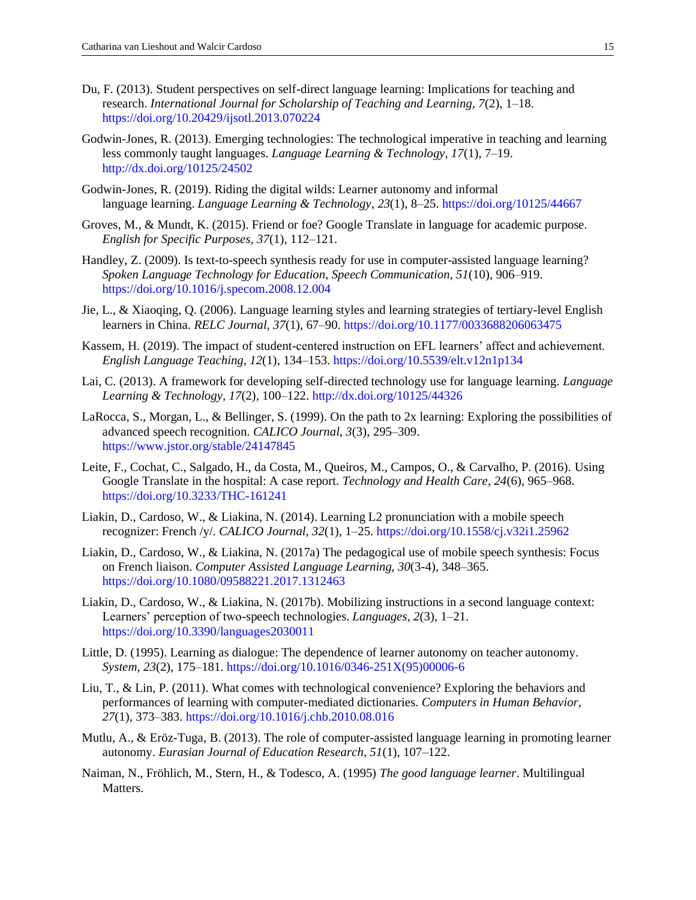- Du, F. (2013). Student perspectives on self-direct language learning: Implications for teaching and research. *International Journal for Scholarship of Teaching and Learning, 7*(2), 1–18. <https://doi.org/10.20429/ijsotl.2013.070224>
- Godwin-Jones, R. (2013). Emerging technologies: The technological imperative in teaching and learning less commonly taught languages. *Language Learning & Technology, 17*(1), 7–19. <http://dx.doi.org/10125/24502>
- Godwin-Jones, R. (2019). Riding the digital wilds: Learner autonomy and informal language learning. *Language Learning & Technology*, *23*(1), 8–25.<https://doi.org/10125/44667>
- Groves, M., & Mundt, K. (2015). Friend or foe? Google Translate in language for academic purpose. *English for Specific Purposes, 37*(1), 112–121.
- Handley, Z. (2009). Is text-to-speech synthesis ready for use in computer-assisted language learning? *Spoken Language Technology for Education*, *Speech Communication, 51*(10), 906–919. <https://doi.org/10.1016/j.specom.2008.12.004>
- Jie, L., & Xiaoqing, Q. (2006). Language learning styles and learning strategies of tertiary-level English learners in China. *RELC Journal, 37*(1), 67–90.<https://doi.org/10.1177/0033688206063475>
- Kassem, H. (2019). The impact of student-centered instruction on EFL learners' affect and achievement. *English Language Teaching, 12*(1), 134–153. <https://doi.org/10.5539/elt.v12n1p134>
- Lai, C. (2013). A framework for developing self-directed technology use for language learning. *Language Learning & Technology, 17*(2), 100–122[. http://dx.doi.org/10125/44326](http://dx.doi.org/10125/44326)
- LaRocca, S., Morgan, L., & Bellinger, S. (1999). On the path to 2x learning: Exploring the possibilities of advanced speech recognition. *CALICO Journal, 3*(3), 295–309. <https://www.jstor.org/stable/24147845>
- Leite, F., Cochat, C., Salgado, H., da Costa, M., Queiros, M., Campos, O., & Carvalho, P. (2016). Using Google Translate in the hospital: A case report. *Technology and Health Care, 24*(6), 965–968. <https://doi.org/10.3233/THC-161241>
- Liakin, D., Cardoso, W., & Liakina, N. (2014). Learning L2 pronunciation with a mobile speech recognizer: French /y/. *CALICO Journal, 32*(1), 1–25.<https://doi.org/10.1558/cj.v32i1.25962>
- Liakin, D., Cardoso, W., & Liakina, N. (2017a) The pedagogical use of mobile speech synthesis: Focus on French liaison. *Computer Assisted Language Learning, 30*(3-4), 348–365. <https://doi.org/10.1080/09588221.2017.1312463>
- Liakin, D., Cardoso, W., & Liakina, N. (2017b). Mobilizing instructions in a second language context: Learners' perception of two-speech technologies. *Languages, 2*(3), 1–21. <https://doi.org/10.3390/languages2030011>
- Little, D. (1995). Learning as dialogue: The dependence of learner autonomy on teacher autonomy. *System, 23*(2), 175–181. [https://doi.org/10.1016/0346-251X\(95\)00006-6](https://doi.org/10.1016/0346-251X(95)00006-6)
- Liu, T., & Lin, P. (2011). What comes with technological convenience? Exploring the behaviors and performances of learning with computer-mediated dictionaries. *Computers in Human Behavior, 27*(1), 373–383.<https://doi.org/10.1016/j.chb.2010.08.016>
- Mutlu, A., & Eröz-Tuga, B. (2013). The role of computer-assisted language learning in promoting learner autonomy. *Eurasian Journal of Education Research, 51*(1), 107–122.
- Naiman, N., Fröhlich, M., Stern, H., & Todesco, A. (1995) *The good language learner*. Multilingual Matters.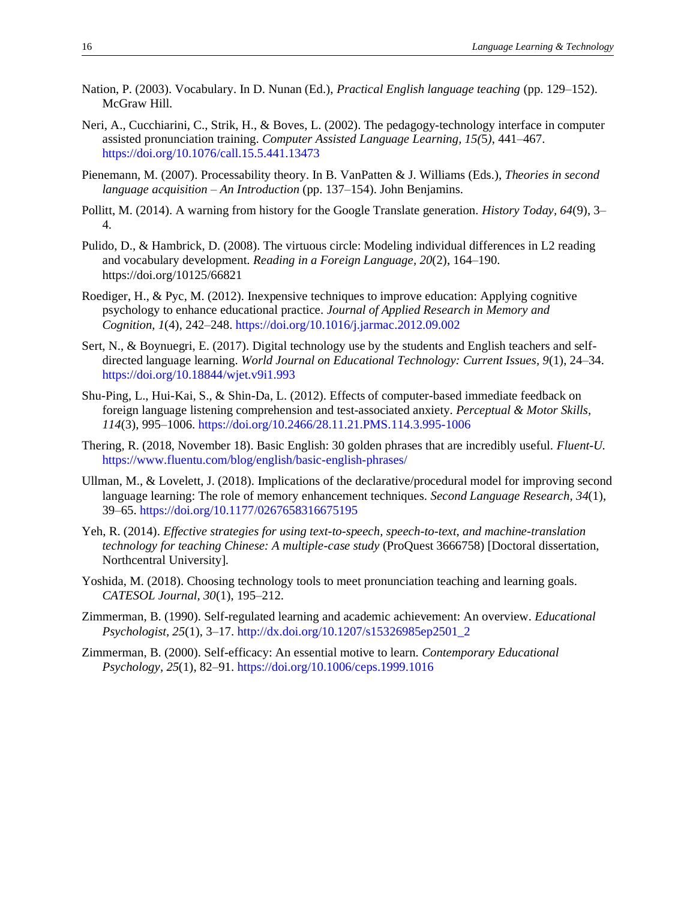- Nation, P. (2003). Vocabulary. In D. Nunan (Ed.), *Practical English language teaching* (pp. 129–152). McGraw Hill.
- Neri, A., Cucchiarini, C., Strik, H., & Boves, L. (2002). The pedagogy-technology interface in computer assisted pronunciation training. *Computer Assisted Language Learning, 15(*5*)*, 441–467. <https://doi.org/10.1076/call.15.5.441.13473>
- Pienemann, M. (2007). Processability theory. In B. VanPatten & J. Williams (Eds.), *Theories in second language acquisition – An Introduction* (pp. 137–154). John Benjamins.
- Pollitt, M. (2014). A warning from history for the Google Translate generation. *History Today, 64*(9), 3– 4.
- Pulido, D., & Hambrick, D. (2008). The virtuous circle: Modeling individual differences in L2 reading and vocabulary development. *Reading in a Foreign Language, 20*(2), 164–190. https://doi.org/10125/66821
- Roediger, H., & Pyc, M. (2012). Inexpensive techniques to improve education: Applying cognitive psychology to enhance educational practice. *Journal of Applied Research in Memory and Cognition, 1*(4), 242–248. <https://doi.org/10.1016/j.jarmac.2012.09.002>
- Sert, N., & Boynuegri, E. (2017). Digital technology use by the students and English teachers and selfdirected language learning. *World Journal on Educational Technology: Current Issues, 9*(1), 24–34. <https://doi.org/10.18844/wjet.v9i1.993>
- Shu-Ping, L., Hui-Kai, S., & Shin-Da, L. (2012). Effects of computer-based immediate feedback on foreign language listening comprehension and test-associated anxiety. *Perceptual & Motor Skills, 114*(3), 995–1006.<https://doi.org/10.2466/28.11.21.PMS.114.3.995-1006>
- Thering, R. (2018, November 18). Basic English: 30 golden phrases that are incredibly useful. *Fluent-U.*  <https://www.fluentu.com/blog/english/basic-english-phrases/>
- Ullman, M., & Lovelett, J. (2018). Implications of the declarative/procedural model for improving second language learning: The role of memory enhancement techniques. *Second Language Research, 34*(1), 39–65. <https://doi.org/10.1177/0267658316675195>
- Yeh, R. (2014). *Effective strategies for using text-to-speech, speech-to-text, and machine-translation technology for teaching Chinese: A multiple-case study* (ProQuest 3666758) [Doctoral dissertation, Northcentral University].
- Yoshida, M. (2018). Choosing technology tools to meet pronunciation teaching and learning goals. *CATESOL Journal, 30*(1), 195–212.
- Zimmerman, B. (1990). Self-regulated learning and academic achievement: An overview. *Educational Psychologist, 25*(1), 3–17[. http://dx.doi.org/10.1207/s15326985ep2501\\_2](http://dx.doi.org/10.1207/s15326985ep2501_2)
- Zimmerman, B. (2000). Self-efficacy: An essential motive to learn. *Contemporary Educational Psychology, 25*(1), 82–91. <https://doi.org/10.1006/ceps.1999.1016>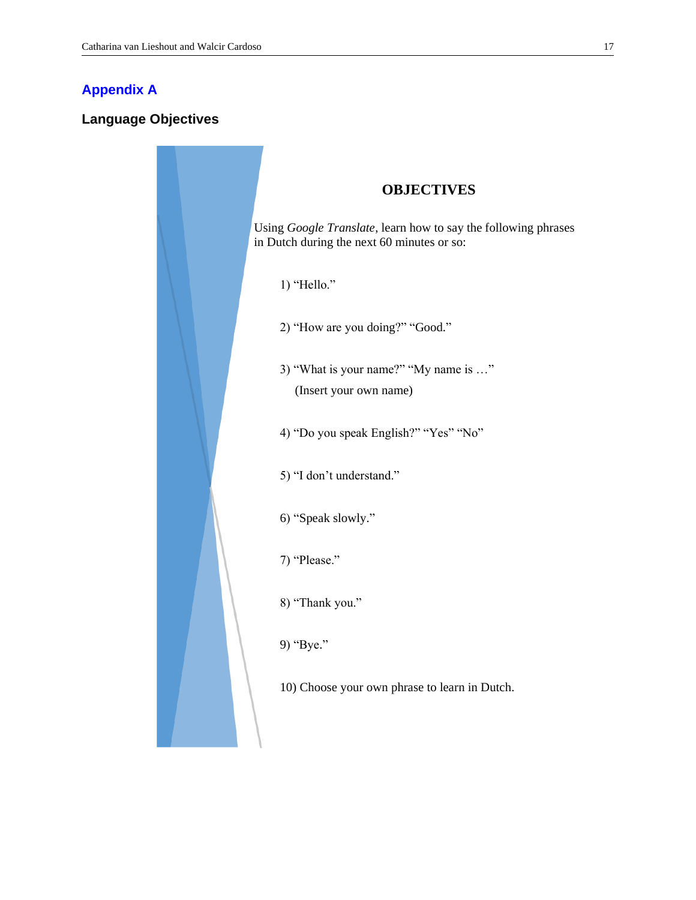## <span id="page-16-0"></span>**[Appendix A](#page-17-0)**

### **Language Objectives**

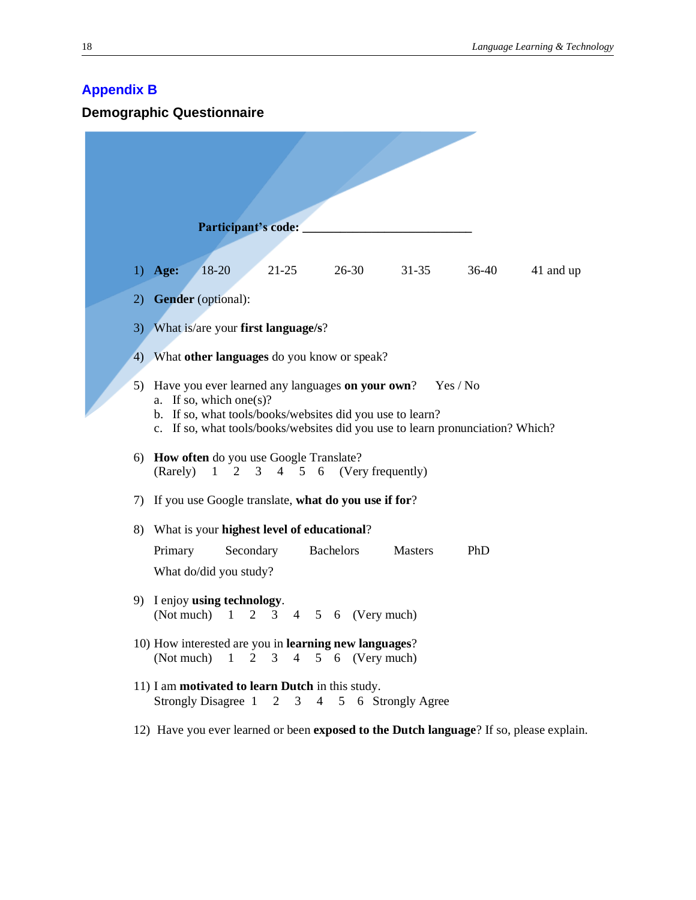# <span id="page-17-0"></span>**[Appendix](#page-7-0) B**

**Demographic Questionnaire**

|    | Participant's code:                                                                                                                                                                                                                    |
|----|----------------------------------------------------------------------------------------------------------------------------------------------------------------------------------------------------------------------------------------|
|    | 18-20<br>$21 - 25$<br>$26 - 30$<br>$36-40$<br>1) Age:<br>$31 - 35$<br>41 and up                                                                                                                                                        |
|    | 2) Gender (optional):                                                                                                                                                                                                                  |
|    | 3) What is/are your first language/s?                                                                                                                                                                                                  |
|    | 4) What <b>other languages</b> do you know or speak?                                                                                                                                                                                   |
| 5) | Have you ever learned any languages on your own?<br>Yes / No<br>a. If so, which one(s)?<br>b. If so, what tools/books/websites did you use to learn?<br>c. If so, what tools/books/websites did you use to learn pronunciation? Which? |
|    | 6) How often do you use Google Translate?<br>4 5 6 (Very frequently)<br>(Rarely)<br>$1\quad 2$<br>$\mathfrak{Z}$                                                                                                                       |
|    | 7) If you use Google translate, what do you use if for?                                                                                                                                                                                |
|    | 8) What is your highest level of educational?                                                                                                                                                                                          |
|    | <b>Bachelors</b><br>Primary<br>Secondary<br><b>Masters</b><br>PhD<br>What do/did you study?                                                                                                                                            |
|    | 9) I enjoy using technology.<br>(Not much)<br>$\mathbf{1}$<br>2<br>5 6<br>(Very much)<br>3<br>4                                                                                                                                        |
|    | 10) How interested are you in learning new languages?<br>(Not much)<br>$1 \t2 \t3 \t4 \t5 \t6$ (Very much)                                                                                                                             |
|    | 11) I am motivated to learn Dutch in this study.<br>Strongly Disagree 1 2 3 4<br>5 6 Strongly Agree                                                                                                                                    |
|    | 12) Have you ever learned or been exposed to the Dutch language? If so, please explain.                                                                                                                                                |